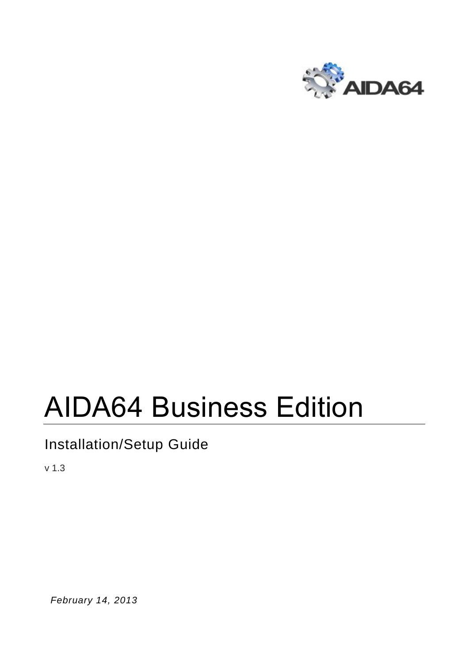

# AIDA64 Business Edition

## Installation/Setup Guide

v 1.3

*February 14, 2013*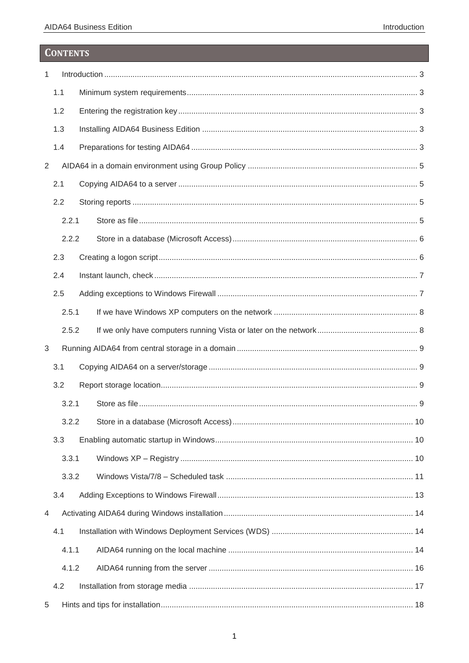## **CONTENTS**

| 1 |       |  |  |  |  |
|---|-------|--|--|--|--|
|   | 1.1   |  |  |  |  |
|   | 1.2   |  |  |  |  |
|   | 1.3   |  |  |  |  |
|   | 1.4   |  |  |  |  |
| 2 |       |  |  |  |  |
|   | 2.1   |  |  |  |  |
|   | 2.2   |  |  |  |  |
|   | 2.2.1 |  |  |  |  |
|   | 2.2.2 |  |  |  |  |
|   | 2.3   |  |  |  |  |
|   | 2.4   |  |  |  |  |
|   | 2.5   |  |  |  |  |
|   | 2.5.1 |  |  |  |  |
|   | 2.5.2 |  |  |  |  |
| 3 |       |  |  |  |  |
|   | 3.1   |  |  |  |  |
|   | 3.2   |  |  |  |  |
|   | 3.2.1 |  |  |  |  |
|   | 3.2.2 |  |  |  |  |
|   | 3.3   |  |  |  |  |
|   | 3.3.1 |  |  |  |  |
|   | 3.3.2 |  |  |  |  |
|   | 3.4   |  |  |  |  |
| 4 |       |  |  |  |  |
|   | 4.1   |  |  |  |  |
|   | 4.1.1 |  |  |  |  |
|   | 4.1.2 |  |  |  |  |
|   | 4.2   |  |  |  |  |
| 5 |       |  |  |  |  |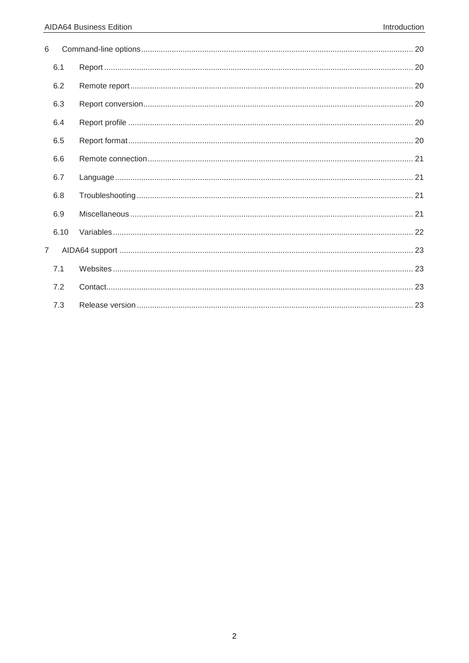| 6              |      |  |
|----------------|------|--|
|                | 6.1  |  |
|                | 6.2  |  |
|                | 6.3  |  |
|                | 6.4  |  |
|                | 6.5  |  |
|                | 6.6  |  |
|                | 6.7  |  |
|                | 6.8  |  |
|                | 6.9  |  |
|                | 6.10 |  |
| $\overline{7}$ |      |  |
|                | 7.1  |  |
|                | 7.2  |  |
|                | 7.3  |  |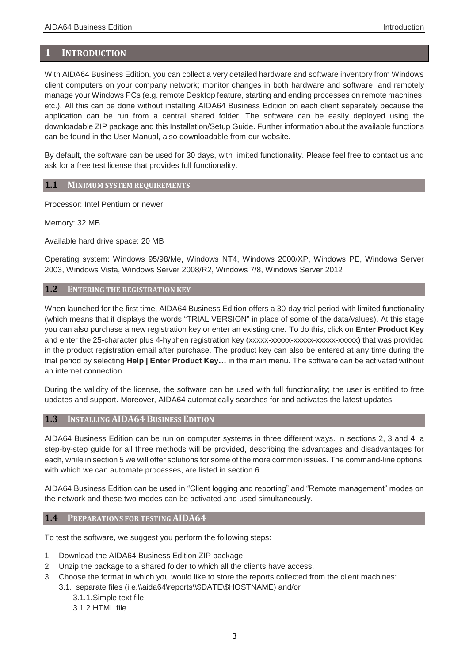#### <span id="page-3-0"></span>**1 INTRODUCTION**

With AIDA64 Business Edition, you can collect a very detailed hardware and software inventory from Windows client computers on your company network; monitor changes in both hardware and software, and remotely manage your Windows PCs (e.g. remote Desktop feature, starting and ending processes on remote machines, etc.). All this can be done without installing AIDA64 Business Edition on each client separately because the application can be run from a central shared folder. The software can be easily deployed using the downloadable ZIP package and this Installation/Setup Guide. Further information about the available functions can be found in the User Manual, also downloadable from our website.

By default, the software can be used for 30 days, with limited functionality. Please feel free to contact us and ask for a free test license that provides full functionality.

#### <span id="page-3-1"></span>**1.1 MINIMUM SYSTEM REQUIREMENTS**

Processor: Intel Pentium or newer

Memory: 32 MB

Available hard drive space: 20 MB

Operating system: Windows 95/98/Me, Windows NT4, Windows 2000/XP, Windows PE, Windows Server 2003, Windows Vista, Windows Server 2008/R2, Windows 7/8, Windows Server 2012

#### <span id="page-3-2"></span>**1.2 ENTERING THE REGISTRATION KEY**

When launched for the first time, AIDA64 Business Edition offers a 30-day trial period with limited functionality (which means that it displays the words "TRIAL VERSION" in place of some of the data/values). At this stage you can also purchase a new registration key or enter an existing one. To do this, click on **Enter Product Key** and enter the 25-character plus 4-hyphen registration key (xxxxx-xxxxx-xxxxx-xxxxx-xxxxx) that was provided in the product registration email after purchase. The product key can also be entered at any time during the trial period by selecting **Help | Enter Product Key…** in the main menu. The software can be activated without an internet connection.

During the validity of the license, the software can be used with full functionality; the user is entitled to free updates and support. Moreover, AIDA64 automatically searches for and activates the latest updates.

#### <span id="page-3-3"></span>**1.3 INSTALLING AIDA64 BUSINESS EDITION**

AIDA64 Business Edition can be run on computer systems in three different ways. In sections 2, 3 and 4, a step-by-step guide for all three methods will be provided, describing the advantages and disadvantages for each, while in section 5 we will offer solutions for some of the more common issues. The command-line options, with which we can automate processes, are listed in section 6.

AIDA64 Business Edition can be used in "Client logging and reporting" and "Remote management" modes on the network and these two modes can be activated and used simultaneously.

#### <span id="page-3-4"></span>**1.4 PREPARATIONS FOR TESTING AIDA64**

To test the software, we suggest you perform the following steps:

- 1. Download the AIDA64 Business Edition ZIP package
- 2. Unzip the package to a shared folder to which all the clients have access.
- 3. Choose the format in which you would like to store the reports collected from the client machines:
	- 3.1. separate files (i.e.\\aida64\reports\\\$DATE\\$HOSTNAME) and/or
		- 3.1.1.Simple text file 3.1.2.HTML file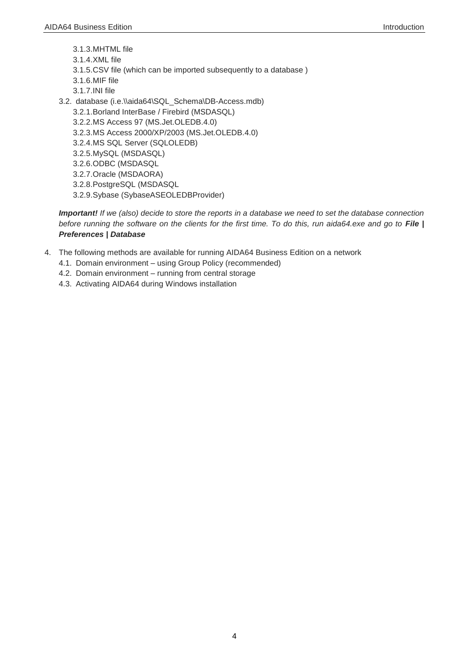- 3.1.3.MHTML file
- 3.1.4.XML file
- 3.1.5.CSV file (which can be imported subsequently to a database )
- 3.1.6.MIF file
- 3.1.7.INI file
- 3.2. database (i.e.\\aida64\SQL\_Schema\DB-Access.mdb)
	- 3.2.1.Borland InterBase / Firebird (MSDASQL)
	- 3.2.2.MS Access 97 (MS.Jet.OLEDB.4.0)
	- 3.2.3.MS Access 2000/XP/2003 (MS.Jet.OLEDB.4.0)
	- 3.2.4.MS SQL Server (SQLOLEDB)
	- 3.2.5.MySQL (MSDASQL)
	- 3.2.6.ODBC (MSDASQL
	- 3.2.7.Oracle (MSDAORA)
	- 3.2.8.PostgreSQL (MSDASQL
	- 3.2.9.Sybase (SybaseASEOLEDBProvider)

*Important! If we (also) decide to store the reports in a database we need to set the database connection before running the software on the clients for the first time. To do this, run aida64.exe and go to File | Preferences | Database*

- 4. The following methods are available for running AIDA64 Business Edition on a network
	- 4.1. Domain environment using Group Policy (recommended)
	- 4.2. Domain environment running from central storage
	- 4.3. Activating AIDA64 during Windows installation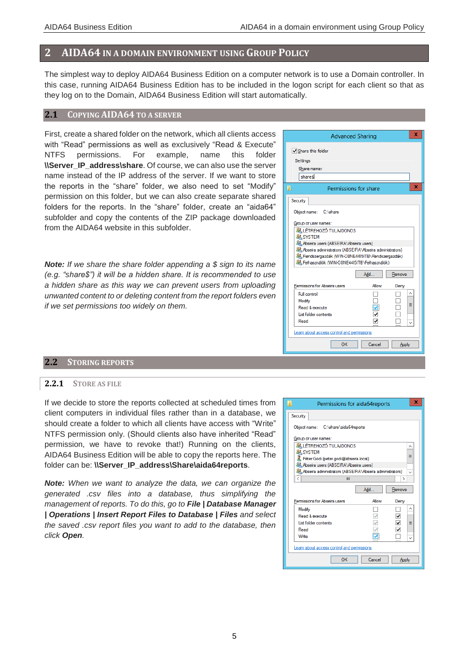#### <span id="page-5-0"></span>**2 AIDA64 IN A DOMAIN ENVIRONMENT USING GROUP POLICY**

The simplest way to deploy AIDA64 Business Edition on a computer network is to use a Domain controller. In this case, running AIDA64 Business Edition has to be included in the logon script for each client so that as they log on to the Domain, AIDA64 Business Edition will start automatically.

#### <span id="page-5-1"></span>**2.1 COPYING AIDA64 TO A SERVER**

First, create a shared folder on the network, which all clients access with "Read" permissions as well as exclusively "Read & Execute" NTFS permissions. For example, name this folder **\\Server\_IP\_address\share**. Of course, we can also use the server name instead of the IP address of the server. If we want to store the reports in the "share" folder, we also need to set "Modify" permission on this folder, but we can also create separate shared folders for the reports. In the "share" folder, create an "aida64" subfolder and copy the contents of the ZIP package downloaded from the AIDA64 website in this subfolder.

*Note: If we share the share folder appending a \$ sign to its name (e.g. "share\$") it will be a hidden share. It is recommended to use a hidden share as this way we can prevent users from uploading unwanted content to or deleting content from the report folders even if we set permissions too widely on them.*



#### <span id="page-5-2"></span>**2.2 STORING REPORTS**

#### <span id="page-5-3"></span>**2.2.1 STORE AS FILE**

If we decide to store the reports collected at scheduled times from client computers in individual files rather than in a database, we should create a folder to which all clients have access with "Write" NTFS permission only. (Should clients also have inherited "Read" permission, we have to revoke that!) Running on the clients, AIDA64 Business Edition will be able to copy the reports here. The folder can be: **\\Server\_IP\_address\Share\aida64reports**.

*Note: When we want to analyze the data, we can organize the generated .csv files into a database, thus simplifying the management of reports. To do this, go to File | Database Manager | Operations | Insert Report Files to Database | Files and select the saved .csv report files you want to add to the database, then click Open.*

|                                                         | x<br>Permissions for aida64reports |  |  |  |  |
|---------------------------------------------------------|------------------------------------|--|--|--|--|
| Security                                                |                                    |  |  |  |  |
| Object name: C:\share\aida64reports                     |                                    |  |  |  |  |
| Group or user names:                                    |                                    |  |  |  |  |
| <b>ALLÉTREHOZÓ TULAJDONOS</b>                           |                                    |  |  |  |  |
| <b>SA SYSTEM</b>                                        |                                    |  |  |  |  |
| Péter Gódi (peter godi@abseira local)                   | $\equiv$                           |  |  |  |  |
| Abseira users (ABSEIRA\Abseira users)                   |                                    |  |  |  |  |
| Abseira administrators (ABSEIRA\Abseira administrators) | $\checkmark$                       |  |  |  |  |
| $\overline{\phantom{a}}$<br>Ш                           | ⋋                                  |  |  |  |  |
|                                                         | Add<br>Remove                      |  |  |  |  |
| Permissions for Abseira users                           | Allow<br>Deny                      |  |  |  |  |
| Modify                                                  | ∧                                  |  |  |  |  |
| Read & execute                                          | $\overline{\bullet}$               |  |  |  |  |
| List folder contents                                    | ✔<br>$\equiv$                      |  |  |  |  |
| Read                                                    | ✓                                  |  |  |  |  |
| Write                                                   | ú                                  |  |  |  |  |
| Leam about access control and permissions               |                                    |  |  |  |  |
| OK                                                      | Cancel<br>Apply                    |  |  |  |  |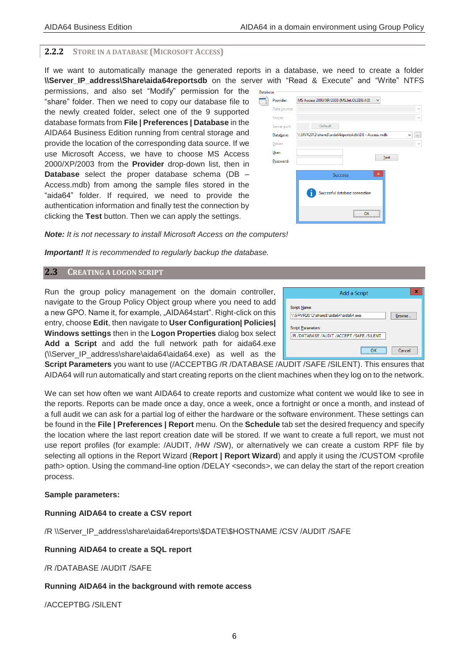#### <span id="page-6-0"></span>**2.2.2 STORE IN A DATABASE (MICROSOFT ACCESS)**

If we want to automatically manage the generated reports in a database, we need to create a folder **\\Server\_IP\_address\Share\aida64reportsdb** on the server with "Read & Execute" and "Write" NTFS

permissions, and also set "Modify" permission for the "share" folder. Then we need to copy our database file to the newly created folder, select one of the 9 supported database formats from **File | Preferences | Database** in the AIDA64 Business Edition running from central storage and provide the location of the corresponding data source. If we use Microsoft Access, we have to choose MS Access 2000/XP/2003 from the **Provider** drop-down list, then in **Database** select the proper database schema (DB – Access.mdb) from among the sample files stored in the "aida64" folder. If required, we need to provide the authentication information and finally test the connection by clicking the **Test** button. Then we can apply the settings.

| Database |              |                                                                      |
|----------|--------------|----------------------------------------------------------------------|
|          | Provider:    | MS Access 2000/XP/2003 (MS.Jet.OLEDB.4.0)<br>v                       |
|          | Data source: | u                                                                    |
|          | Server:      |                                                                      |
|          | Server port: | Default                                                              |
|          | Database:    | \\SRVR2012\share\$\aida64riportokdb\DB - Access.mdb<br>٧<br>$\cdots$ |
|          | Driver:      | v                                                                    |
|          | User:        |                                                                      |
|          | Password:    | Test                                                                 |
|          |              | $\boldsymbol{\mathsf{x}}$<br><b>Success</b>                          |
|          |              | Successful database connection                                       |
|          |              | OK                                                                   |

#### *Note: It is not necessary to install Microsoft Access on the computers!*

*Important! It is recommended to regularly backup the database.*

#### <span id="page-6-1"></span>**2.3 CREATING A LOGON SCRIPT**

Run the group policy management on the domain controller, navigate to the Group Policy Object group where you need to add a new GPO. Name it, for example, "AIDA64start". Right-click on this entry, choose **Edit**, then navigate to **User Configuration| Policies| Windows settings** then in the **Logon Properties** dialog box select **Add a Script** and add the full network path for aida64.exe (\\Server\_IP\_address\share\aida64\aida64.exe) as well as the

| Add a Script                                                                | x      |
|-----------------------------------------------------------------------------|--------|
| Script Name:<br>\\\SRVR2012\share\$\aida64\aida64.exe<br>Script Parameters: | Browse |
| /R /DATABASE /AUDIT /ACCEPT /SAFE /SILENT                                   | Cancel |

**Script Parameters** you want to use (/ACCEPTBG /R /DATABASE /AUDIT /SAFE /SILENT). This ensures that AIDA64 will run automatically and start creating reports on the client machines when they log on to the network.

We can set how often we want AIDA64 to create reports and customize what content we would like to see in the reports. Reports can be made once a day, once a week, once a fortnight or once a month, and instead of a full audit we can ask for a partial log of either the hardware or the software environment. These settings can be found in the **File | Preferences | Report** menu. On the **Schedule** tab set the desired frequency and specify the location where the last report creation date will be stored. If we want to create a full report, we must not use report profiles (for example: /AUDIT, /HW /SW), or alternatively we can create a custom RPF file by selecting all options in the Report Wizard (Report | Report Wizard) and apply it using the /CUSTOM <profile path> option. Using the command-line option /DELAY <seconds>, we can delay the start of the report creation process.

#### **Sample parameters:**

#### **Running AIDA64 to create a CSV report**

/R \\Server\_IP\_address\share\aida64reports\\$DATE\\$HOSTNAME /CSV /AUDIT /SAFE

#### **Running AIDA64 to create a SQL report**

/R /DATABASE /AUDIT /SAFE

#### **Running AIDA64 in the background with remote access**

/ACCEPTBG /SILENT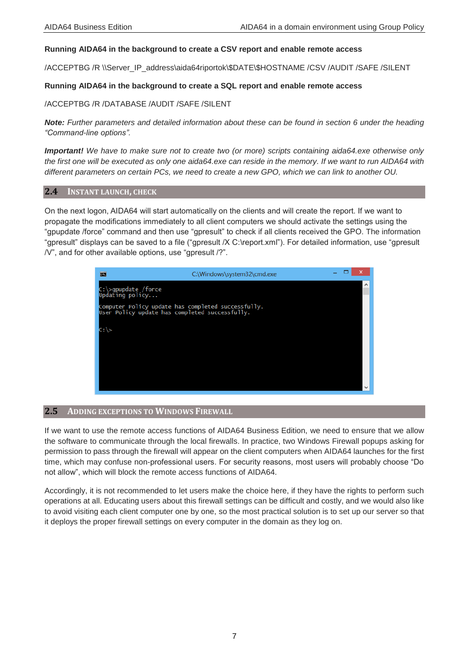#### **Running AIDA64 in the background to create a CSV report and enable remote access**

/ACCEPTBG /R \\Server\_IP\_address\aida64riportok\\$DATE\\$HOSTNAME /CSV /AUDIT /SAFE /SILENT

#### **Running AIDA64 in the background to create a SQL report and enable remote access**

/ACCEPTBG /R /DATABASE /AUDIT /SAFE /SILENT

*Note: Further parameters and detailed information about these can be found in section 6 under the heading "Command-line options".*

*Important! We have to make sure not to create two (or more) scripts containing aida64.exe otherwise only the first one will be executed as only one aida64.exe can reside in the memory. If we want to run AIDA64 with different parameters on certain PCs, we need to create a new GPO, which we can link to another OU.*

#### <span id="page-7-0"></span>**2.4 INSTANT LAUNCH, CHECK**

On the next logon, AIDA64 will start automatically on the clients and will create the report. If we want to propagate the modifications immediately to all client computers we should activate the settings using the "gpupdate /force" command and then use "gpresult" to check if all clients received the GPO. The information "gpresult" displays can be saved to a file ("gpresult /X C:\report.xml"). For detailed information, use "gpresult /V", and for other available options, use "gpresult /?".



#### <span id="page-7-1"></span>**2.5 ADDING EXCEPTIONS TO WINDOWS FIREWALL**

If we want to use the remote access functions of AIDA64 Business Edition, we need to ensure that we allow the software to communicate through the local firewalls. In practice, two Windows Firewall popups asking for permission to pass through the firewall will appear on the client computers when AIDA64 launches for the first time, which may confuse non-professional users. For security reasons, most users will probably choose "Do not allow", which will block the remote access functions of AIDA64.

Accordingly, it is not recommended to let users make the choice here, if they have the rights to perform such operations at all. Educating users about this firewall settings can be difficult and costly, and we would also like to avoid visiting each client computer one by one, so the most practical solution is to set up our server so that it deploys the proper firewall settings on every computer in the domain as they log on.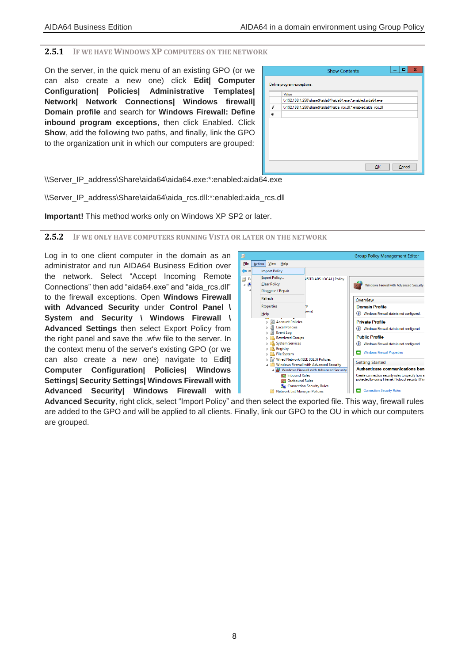#### <span id="page-8-0"></span>**2.5.1 IF WE HAVE WINDOWS XP COMPUTERS ON THE NETWORK**

On the server, in the quick menu of an existing GPO (or we can also create a new one) click **Edit| Computer Configuration| Policies| Administrative Templates| Network| Network Connections| Windows firewall| Domain profile** and search for **Windows Firewall: Define inbound program exceptions**, then click Enabled. Click **Show**, add the following two paths, and finally, link the GPO to the organization unit in which our computers are grouped:

|               | <b>Show Contents</b>                                               | o      | × |
|---------------|--------------------------------------------------------------------|--------|---|
|               | Define program exceptions:                                         |        |   |
|               | Value                                                              |        |   |
|               | \\192.168.1.250\share\$\aida64\aida64.exe:":enabled:aida64.exe     |        |   |
| $\mathcal{I}$ | \\192.168.1.250\share\$\aida64\aida_rcs.dll:*:enabled:aida_rcs.dll |        |   |
| ₩             |                                                                    |        |   |
|               |                                                                    |        |   |
|               |                                                                    |        |   |
|               |                                                                    |        |   |
|               |                                                                    |        |   |
|               |                                                                    |        |   |
|               |                                                                    |        |   |
|               |                                                                    |        |   |
|               | QK                                                                 | Cancel |   |
|               |                                                                    |        |   |
|               |                                                                    |        |   |

\\Server\_IP\_address\Share\aida64\aida64.exe:\*:enabled:aida64.exe

\\Server\_IP\_address\Share\aida64\aida\_rcs.dll:\*:enabled:aida\_rcs.dll

**Important!** This method works only on Windows XP SP2 or later.

#### <span id="page-8-1"></span>**2.5.2 IF WE ONLY HAVE COMPUTERS RUNNING VISTA OR LATER ON THE NETWORK**

Log in to one client computer in the domain as an administrator and run AIDA64 Business Edition over the network. Select "Accept Incoming Remote Connections" then add "aida64.exe" and "aida\_rcs.dll" to the firewall exceptions. Open **Windows Firewall with Advanced Security** under **Control Panel \ System and Security \ Windows Firewall \ Advanced Settings** then select Export Policy from the right panel and save the .wfw file to the server. In the context menu of the server's existing GPO (or we can also create a new one) navigate to E**dit| Computer Configuration| Policies| Windows Settings| Security Settings| Windows Firewall with Advanced Security| Windows Firewall with** 



**Advanced Security**, right click, select "Import Policy" and then select the exported file. This way, firewall rules are added to the GPO and will be applied to all clients. Finally, link our GPO to the OU in which our computers are grouped.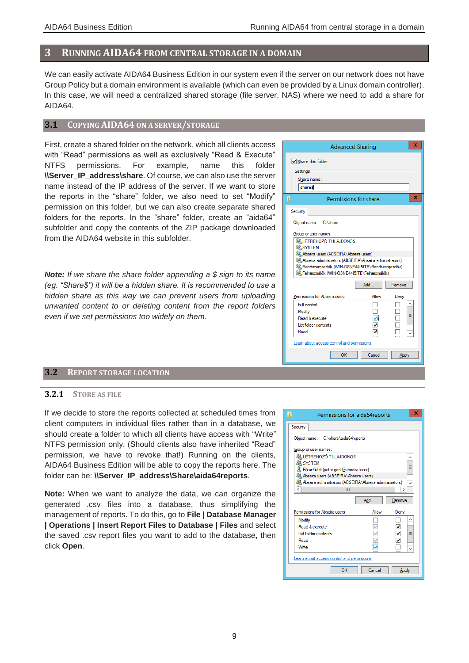### <span id="page-9-0"></span>**3 RUNNING AIDA64 FROM CENTRAL STORAGE IN A DOMAIN**

We can easily activate AIDA64 Business Edition in our system even if the server on our network does not have Group Policy but a domain environment is available (which can even be provided by a Linux domain controller). In this case, we will need a centralized shared storage (file server, NAS) where we need to add a share for AIDA64.

#### <span id="page-9-1"></span>**3.1 COPYING AIDA64 ON A SERVER/STORAGE**

First, create a shared folder on the network, which all clients access with "Read" permissions as well as exclusively "Read & Execute" NTFS permissions. For example, name this folder **\\Server\_IP\_address\share**. Of course, we can also use the server name instead of the IP address of the server. If we want to store the reports in the "share" folder, we also need to set "Modify" permission on this folder, but we can also create separate shared folders for the reports. In the "share" folder, create an "aida64" subfolder and copy the contents of the ZIP package downloaded from the AIDA64 website in this subfolder.

*Note: If we share the share folder appending a \$ sign to its name (eg. "Share\$") it will be a hidden share. It is recommended to use a hidden share as this way we can prevent users from uploading unwanted content to or deleting content from the report folders even if we set permissions too widely on them*.



#### <span id="page-9-3"></span><span id="page-9-2"></span>**3.2 REPORT STORAGE LOCATION**

#### **3.2.1 STORE AS FILE**

If we decide to store the reports collected at scheduled times from client computers in individual files rather than in a database, we should create a folder to which all clients have access with "Write" NTFS permission only. (Should clients also have inherited "Read" permission, we have to revoke that!) Running on the clients, AIDA64 Business Edition will be able to copy the reports here. The folder can be: **\\Server\_IP\_address\Share\aida64reports**.

**Note:** When we want to analyze the data, we can organize the generated .csv files into a database, thus simplifying the management of reports. To do this, go to **File | Database Manager | Operations | Insert Report Files to Database | Files** and select the saved .csv report files you want to add to the database, then click **Open**.

| Permissions for aida64reports                           |                                 | x                    |  |  |
|---------------------------------------------------------|---------------------------------|----------------------|--|--|
| Security                                                |                                 |                      |  |  |
| Object name: C:\share\aida64reports                     |                                 |                      |  |  |
| Group or user names:                                    |                                 |                      |  |  |
| <b>SALLÉTREHOZÓ TULAJDONOS</b>                          |                                 |                      |  |  |
| <b>SA SYSTEM</b>                                        |                                 |                      |  |  |
| Péter Gódi (peter godi@abseira local)                   |                                 | Ξ                    |  |  |
| Abseira users (ABSEIRA\Abseira users)                   |                                 |                      |  |  |
| Abseira administrators (ABSEIRA\Abseira administrators) |                                 | $\ddot{}$            |  |  |
| ←<br>Ш                                                  |                                 | ⋋                    |  |  |
|                                                         | Add                             | Remove               |  |  |
| Permissions for Abseira users                           | Allow                           | Deny                 |  |  |
| Modify                                                  |                                 | ᄉ                    |  |  |
| Read & execute                                          |                                 | $\overline{\bullet}$ |  |  |
| List folder contents                                    |                                 | $\equiv$             |  |  |
| Read                                                    |                                 |                      |  |  |
| Write                                                   | $\overline{\blacktriangledown}$ | Q                    |  |  |
| Leam about access control and permissions               |                                 |                      |  |  |
| OK                                                      | Cancel                          | Apply                |  |  |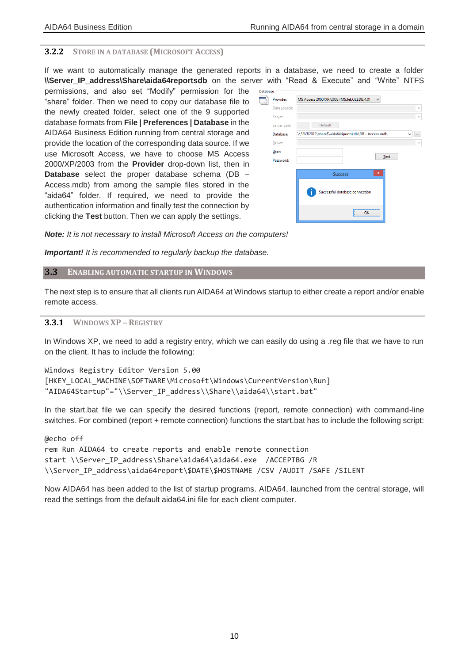#### <span id="page-10-0"></span>**3.2.2 STORE IN A DATABASE (MICROSOFT ACCESS)**

If we want to automatically manage the generated reports in a database, we need to create a folder **\\Server\_IP\_address\Share\aida64reportsdb** on the server with "Read & Execute" and "Write" NTFS

permissions, and also set "Modify" permission for the "share" folder. Then we need to copy our database file to the newly created folder, select one of the 9 supported database formats from **File | Preferences | Database** in the AIDA64 Business Edition running from central storage and provide the location of the corresponding data source. If we use Microsoft Access, we have to choose MS Access 2000/XP/2003 from the **Provider** drop-down list, then in **Database** select the proper database schema (DB – Access.mdb) from among the sample files stored in the "aida64" folder. If required, we need to provide the authentication information and finally test the connection by clicking the **Test** button. Then we can apply the settings.

| Database |              |                                                                                 |
|----------|--------------|---------------------------------------------------------------------------------|
|          | Provider:    | MS Access 2000/XP/2003 (MS.Jet.OLEDB.4.0)<br>٧                                  |
|          | Data source: | $\checkmark$                                                                    |
|          | Server:      | v                                                                               |
|          | Server port: | Default                                                                         |
|          | Database:    | \\SRVR2012\share\$\aida64riportokdb\DB - Access.mdb<br>$\checkmark$<br>$\cdots$ |
|          | Driver:      | v                                                                               |
|          | User:        |                                                                                 |
|          | Password:    | Test                                                                            |
|          |              | $\overline{\mathsf{x}}$<br><b>Success</b>                                       |
|          |              | Successful database connection                                                  |
|          |              | oκ                                                                              |

*Note: It is not necessary to install Microsoft Access on the computers!*

*Important! It is recommended to regularly backup the database.*

#### <span id="page-10-1"></span>**3.3 ENABLING AUTOMATIC STARTUP IN WINDOWS**

The next step is to ensure that all clients run AIDA64 at Windows startup to either create a report and/or enable remote access.

#### <span id="page-10-2"></span>**3.3.1 WINDOWS XP – REGISTRY**

In Windows XP, we need to add a registry entry, which we can easily do using a .reg file that we have to run on the client. It has to include the following:

```
Windows Registry Editor Version 5.00 
[HKEY_LOCAL_MACHINE\SOFTWARE\Microsoft\Windows\CurrentVersion\Run]
"AIDA64Startup"="\\Server_IP_address\\Share\\aida64\\start.bat"
```
In the start.bat file we can specify the desired functions (report, remote connection) with command-line switches. For combined (report + remote connection) functions the start.bat has to include the following script:

```
@echo off 
rem Run AIDA64 to create reports and enable remote connection
start \\Server_IP_address\Share\aida64\aida64.exe /ACCEPTBG /R
\\Server_IP_address\aida64report\$DATE\$HOSTNAME /CSV /AUDIT /SAFE /SILENT
```
Now AIDA64 has been added to the list of startup programs. AIDA64, launched from the central storage, will read the settings from the default aida64.ini file for each client computer.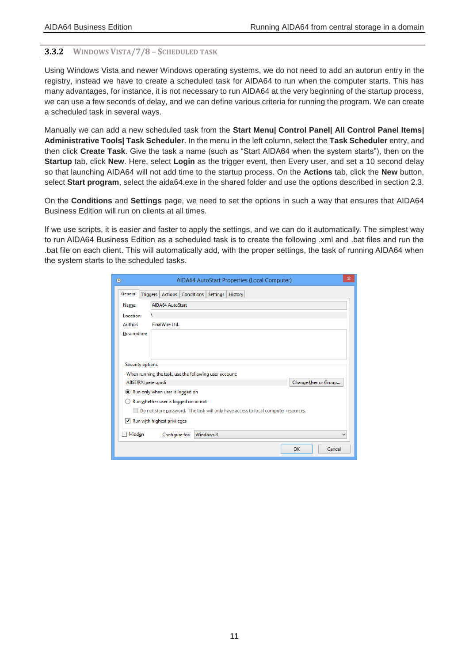#### <span id="page-11-0"></span>**3.3.2 WINDOWS VISTA/7/8 – SCHEDULED TASK**

Using Windows Vista and newer Windows operating systems, we do not need to add an autorun entry in the registry, instead we have to create a scheduled task for AIDA64 to run when the computer starts. This has many advantages, for instance, it is not necessary to run AIDA64 at the very beginning of the startup process, we can use a few seconds of delay, and we can define various criteria for running the program. We can create a scheduled task in several ways.

Manually we can add a new scheduled task from the **Start Menu| Control Panel| All Control Panel Items| Administrative Tools| Task Scheduler**. In the menu in the left column, select the **Task Scheduler** entry, and then click **Create Task**. Give the task a name (such as "Start AIDA64 when the system starts"), then on the **Startup** tab, click **New**. Here, select **Login** as the trigger event, then Every user, and set a 10 second delay so that launching AIDA64 will not add time to the startup process. On the **Actions** tab, click the **New** button, select **Start program**, select the aida64.exe in the shared folder and use the options described in section 2.3.

On the **Conditions** and **Settings** page, we need to set the options in such a way that ensures that AIDA64 Business Edition will run on clients at all times.

If we use scripts, it is easier and faster to apply the settings, and we can do it automatically. The simplest way to run AIDA64 Business Edition as a scheduled task is to create the following .xml and .bat files and run the .bat file on each client. This will automatically add, with the proper settings, the task of running AIDA64 when the system starts to the scheduled tasks.

| $^{\circ}$                       |                                      | AIDA64 AutoStart Properties (Local Computer)                                       | × |  |  |
|----------------------------------|--------------------------------------|------------------------------------------------------------------------------------|---|--|--|
| General<br><b>Triggers</b>       | Conditions<br>Actions                | Settings<br>History                                                                |   |  |  |
| AIDA64 AutoStart<br>Name:        |                                      |                                                                                    |   |  |  |
| Location:                        |                                      |                                                                                    |   |  |  |
| FinalWire Ltd.<br><b>Author:</b> |                                      |                                                                                    |   |  |  |
| Description:                     |                                      |                                                                                    |   |  |  |
|                                  |                                      |                                                                                    |   |  |  |
|                                  |                                      |                                                                                    |   |  |  |
| <b>Security options</b>          |                                      |                                                                                    |   |  |  |
|                                  |                                      | When running the task, use the following user account:                             |   |  |  |
| ABSEIRA\peter.godi               |                                      | Change User or Group                                                               |   |  |  |
|                                  | Run only when user is logged on      |                                                                                    |   |  |  |
|                                  | Run whether user is logged on or not |                                                                                    |   |  |  |
|                                  |                                      | Do not store password. The task will only have access to local computer resources. |   |  |  |
|                                  | Run with highest privileges          |                                                                                    |   |  |  |
| Hidden                           | Configure for:                       | Windows 8                                                                          | v |  |  |
|                                  |                                      | OK<br>Cancel                                                                       |   |  |  |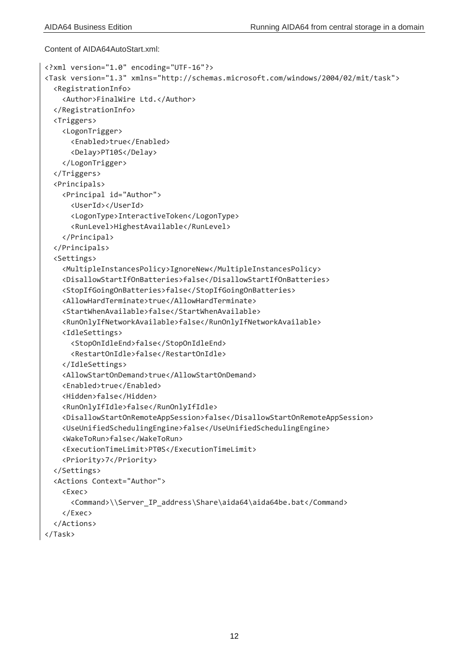Content of AIDA64AutoStart.xml:

```
<?xml version="1.0" encoding="UTF-16"?>
<Task version="1.3" xmlns="http://schemas.microsoft.com/windows/2004/02/mit/task">
   <RegistrationInfo>
     <Author>FinalWire Ltd.</Author>
   </RegistrationInfo>
   <Triggers>
     <LogonTrigger>
       <Enabled>true</Enabled>
       <Delay>PT10S</Delay>
     </LogonTrigger>
   </Triggers>
   <Principals>
     <Principal id="Author">
       <UserId></UserId>
       <LogonType>InteractiveToken</LogonType>
       <RunLevel>HighestAvailable</RunLevel>
     </Principal>
   </Principals>
   <Settings>
     <MultipleInstancesPolicy>IgnoreNew</MultipleInstancesPolicy>
     <DisallowStartIfOnBatteries>false</DisallowStartIfOnBatteries>
     <StopIfGoingOnBatteries>false</StopIfGoingOnBatteries>
     <AllowHardTerminate>true</AllowHardTerminate>
     <StartWhenAvailable>false</StartWhenAvailable>
     <RunOnlyIfNetworkAvailable>false</RunOnlyIfNetworkAvailable>
     <IdleSettings>
       <StopOnIdleEnd>false</StopOnIdleEnd>
       <RestartOnIdle>false</RestartOnIdle>
     </IdleSettings>
     <AllowStartOnDemand>true</AllowStartOnDemand>
     <Enabled>true</Enabled>
     <Hidden>false</Hidden>
     <RunOnlyIfIdle>false</RunOnlyIfIdle>
     <DisallowStartOnRemoteAppSession>false</DisallowStartOnRemoteAppSession>
     <UseUnifiedSchedulingEngine>false</UseUnifiedSchedulingEngine>
     <WakeToRun>false</WakeToRun>
     <ExecutionTimeLimit>PT0S</ExecutionTimeLimit>
     <Priority>7</Priority>
   </Settings>
   <Actions Context="Author">
     <Exec>
       <Command>\\Server_IP_address\Share\aida64\aida64be.bat</Command>
     </Exec>
   </Actions>
</Task>
```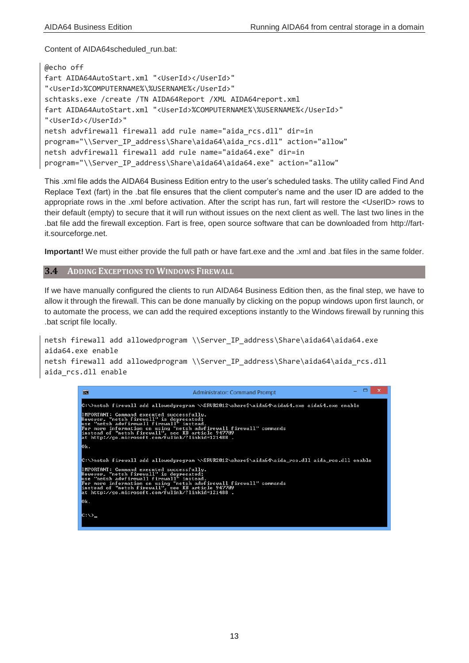Content of AIDA64scheduled\_run.bat:

```
@echo off
fart AIDA64AutoStart.xml "<UserId></UserId>" 
"<UserId>%COMPUTERNAME%\%USERNAME%</UserId>"
schtasks.exe /create /TN AIDA64Report /XML AIDA64report.xml
fart AIDA64AutoStart.xml "<UserId>%COMPUTERNAME%\%USERNAME%</UserId>" 
"<UserId></UserId>"
netsh advfirewall firewall add rule name="aida_rcs.dll" dir=in 
program="\\Server_IP_address\Share\aida64\aida_rcs.dll" action="allow"
netsh advfirewall firewall add rule name="aida64.exe" dir=in 
program="\\Server_IP_address\Share\aida64\aida64.exe" action="allow"
```
This .xml file adds the AIDA64 Business Edition entry to the user's scheduled tasks. The utility called Find And Replace Text (fart) in the .bat file ensures that the client computer's name and the user ID are added to the appropriate rows in the .xml before activation. After the script has run, fart will restore the <UserID> rows to their default (empty) to secure that it will run without issues on the next client as well. The last two lines in the .bat file add the firewall exception. Fart is free, open source software that can be downloaded from http://fartit.sourceforge.net.

**Important!** We must either provide the full path or have fart.exe and the .xml and .bat files in the same folder.

#### <span id="page-13-0"></span>**3.4 ADDING EXCEPTIONS TO WINDOWS FIREWALL**

If we have manually configured the clients to run AIDA64 Business Edition then, as the final step, we have to allow it through the firewall. This can be done manually by clicking on the popup windows upon first launch, or to automate the process, we can add the required exceptions instantly to the Windows firewall by running this .bat script file locally.

netsh firewall add allowedprogram \\Server IP address\Share\aida64\aida64.exe aida64.exe enable netsh firewall add allowedprogram \\Server\_IP\_address\Share\aida64\aida\_rcs.dll aida\_rcs.dll enable

| <b>BEE</b>                                                                                                                                                                                                                                     | <b>Administrator: Command Prompt</b>                                                             |  |  |
|------------------------------------------------------------------------------------------------------------------------------------------------------------------------------------------------------------------------------------------------|--------------------------------------------------------------------------------------------------|--|--|
|                                                                                                                                                                                                                                                | C:\>netsh firewall add allowedprogram \\SRUR2012\share\$\aida64\aida64.exe aida64.exe enable     |  |  |
| IMPORTANT: Command executed successfully.<br>However, "netsh firewall" is deprecated;<br>use "netsh advfirewall firewall" instead.<br>instead of "netsh firewall", see KB article 947709<br>at http://go.microsoft.com/fwlink/?linkid=121488 . | For more information on using "netsh advfirewall firewall" commands                              |  |  |
| Юk.                                                                                                                                                                                                                                            |                                                                                                  |  |  |
|                                                                                                                                                                                                                                                | C:\>netsh firewall add allowedprogram \\SRUR2012\share\$\aida64\aida_rcs.dll aida_rcs.dll enable |  |  |
| IMPORTANT: Command executed successfully.<br>However, "netsh firewall" is deprecated;<br>use "netsh advfirewall firewall" instead.<br>instead of "netsh firewall", see KB article 947709<br>at http://go.microsoft.com/fwlink/?linkid=121488 . | For more information on using "netsh advfirewall firewall" commands                              |  |  |
| Юk.                                                                                                                                                                                                                                            |                                                                                                  |  |  |
| $c:\ \ \searrow$                                                                                                                                                                                                                               |                                                                                                  |  |  |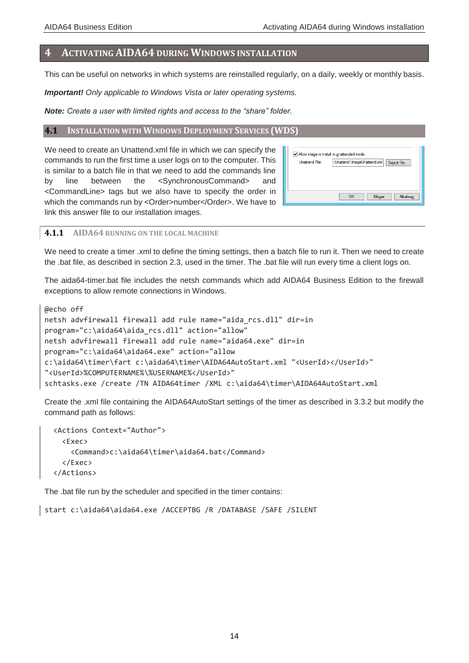#### <span id="page-14-0"></span>**4 ACTIVATING AIDA64 DURING WINDOWS INSTALLATION**

This can be useful on networks in which systems are reinstalled regularly, on a daily, weekly or monthly basis.

*Important! Only applicable to Windows Vista or later operating systems.*

*Note: Create a user with limited rights and access to the "share" folder.*

#### <span id="page-14-1"></span>**4.1 INSTALLATION WITH WINDOWS DEPLOYMENT SERVICES (WDS)**

We need to create an Unattend.xml file in which we can specify the commands to run the first time a user logs on to the computer. This is similar to a batch file in that we need to add the commands line by line between the <SynchronousCommand> and <CommandLine> tags but we also have to specify the order in which the commands run by <Order>number</Order>. We have to link this answer file to our installation images.

| Unattend File: | \Unattend\ImageUnattend.xml<br>Select File. |
|----------------|---------------------------------------------|
|                |                                             |
|                |                                             |
|                |                                             |
|                |                                             |

<span id="page-14-2"></span>**4.1.1 AIDA64 RUNNING ON THE LOCAL MACHINE**

We need to create a timer .xml to define the timing settings, then a batch file to run it. Then we need to create the .bat file, as described in section 2.3, used in the timer. The .bat file will run every time a client logs on.

The aida64-timer.bat file includes the netsh commands which add AIDA64 Business Edition to the firewall exceptions to allow remote connections in Windows.

```
@echo off
netsh advfirewall firewall add rule name="aida_rcs.dll" dir=in 
program="c:\aida64\aida_rcs.dll" action="allow"
netsh advfirewall firewall add rule name="aida64.exe" dir=in 
program="c:\aida64\aida64.exe" action="allow
c:\aida64\timer\fart c:\aida64\timer\AIDA64AutoStart.xml "<UserId></UserId>" 
"<UserId>%COMPUTERNAME%\%USERNAME%</UserId>"
schtasks.exe /create /TN AIDA64timer /XML c:\aida64\timer\AIDA64AutoStart.xml
```
Create the .xml file containing the AIDA64AutoStart settings of the timer as described in 3.3.2 but modify the command path as follows:

```
 <Actions Context="Author">
   <Exec>
     <Command>c:\aida64\timer\aida64.bat</Command>
   </Exec>
 </Actions>
```
The .bat file run by the scheduler and specified in the timer contains:

start c:\aida64\aida64.exe /ACCEPTBG /R /DATABASE /SAFE /SILENT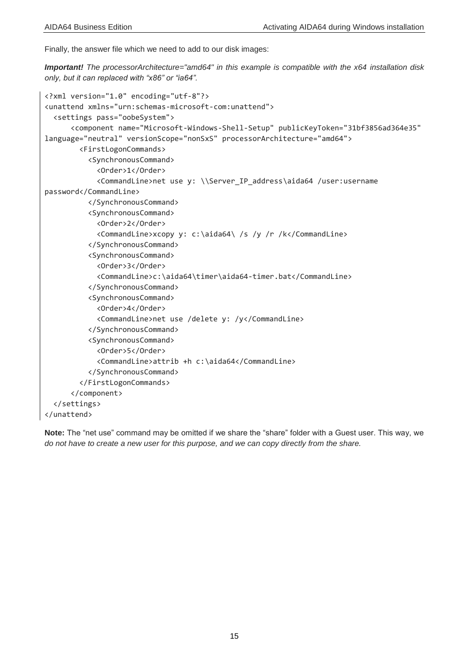Finally, the answer file which we need to add to our disk images:

*Important! The processorArchitecture="amd64" in this example is compatible with the x64 installation disk only, but it can replaced with "x86" or "ia64".*

```
<?xml version="1.0" encoding="utf-8"?>
<unattend xmlns="urn:schemas-microsoft-com:unattend">
   <settings pass="oobeSystem">
       <component name="Microsoft-Windows-Shell-Setup" publicKeyToken="31bf3856ad364e35" 
language="neutral" versionScope="nonSxS" processorArchitecture="amd64">
         <FirstLogonCommands>
           <SynchronousCommand>
             <Order>1</Order>
             <CommandLine>net use y: \\Server_IP_address\aida64 /user:username 
password</CommandLine>
           </SynchronousCommand>
           <SynchronousCommand>
             <Order>2</Order>
             <CommandLine>xcopy y: c:\aida64\ /s /y /r /k</CommandLine>
           </SynchronousCommand>
           <SynchronousCommand>
             <Order>3</Order>
             <CommandLine>c:\aida64\timer\aida64-timer.bat</CommandLine>
           </SynchronousCommand>
           <SynchronousCommand>
             <Order>4</Order>
             <CommandLine>net use /delete y: /y</CommandLine>
           </SynchronousCommand>
           <SynchronousCommand>
             <Order>5</Order>
             <CommandLine>attrib +h c:\aida64</CommandLine>
           </SynchronousCommand>
         </FirstLogonCommands>
       </component>
   </settings>
</unattend>
```
**Note:** The "net use" command may be omitted if we share the "share" folder with a Guest user. This way, we *do not have to create a new user for this purpose, and we can copy directly from the share.*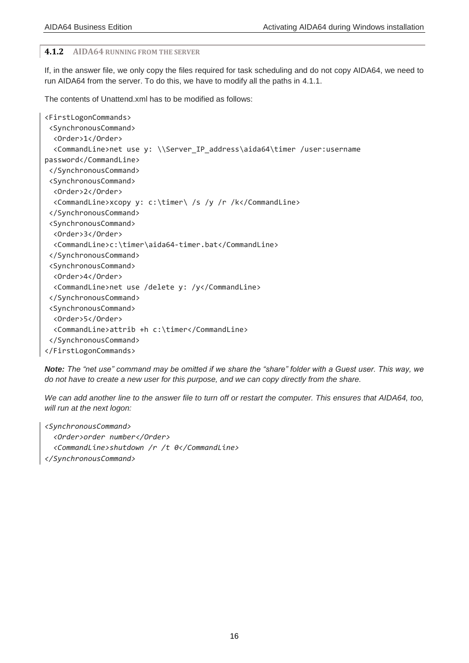#### <span id="page-16-0"></span>**4.1.2 AIDA64 RUNNING FROM THE SERVER**

If, in the answer file, we only copy the files required for task scheduling and do not copy AIDA64, we need to run AIDA64 from the server. To do this, we have to modify all the paths in 4.1.1.

The contents of Unattend.xml has to be modified as follows:

```
<FirstLogonCommands>
<SynchronousCommand>
   <Order>1</Order>
   <CommandLine>net use y: \\Server_IP_address\aida64\timer /user:username 
password</CommandLine>
 </SynchronousCommand>
<SynchronousCommand>
   <Order>2</Order>
   <CommandLine>xcopy y: c:\timer\ /s /y /r /k</CommandLine>
 </SynchronousCommand>
 <SynchronousCommand>
   <Order>3</Order>
   <CommandLine>c:\timer\aida64-timer.bat</CommandLine>
 </SynchronousCommand>
<SynchronousCommand>
  <Order>4</Order>
   <CommandLine>net use /delete y: /y</CommandLine>
 </SynchronousCommand>
 <SynchronousCommand>
   <Order>5</Order>
   <CommandLine>attrib +h c:\timer</CommandLine>
 </SynchronousCommand>
</FirstLogonCommands>
```
*Note: The "net use" command may be omitted if we share the "share" folder with a Guest user. This way, we do not have to create a new user for this purpose, and we can copy directly from the share.*

We can add another line to the answer file to turn off or restart the computer. This ensures that AIDA64, too, *will run at the next logon:*

*<SynchronousCommand> <Order>order number</Order> <CommandLine>shutdown /r /t 0</CommandLine> </SynchronousCommand>*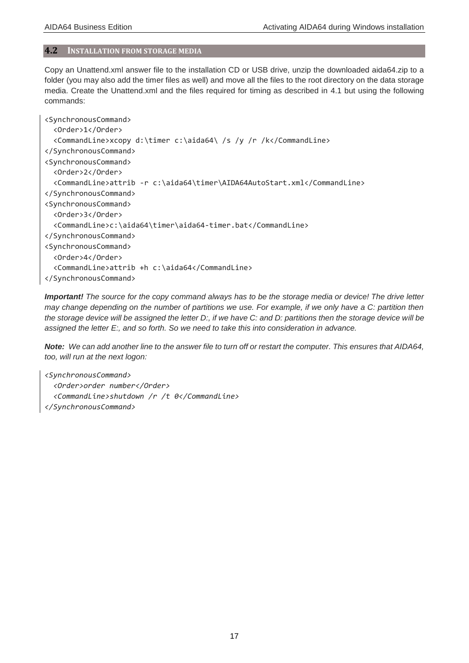#### <span id="page-17-0"></span>**4.2 INSTALLATION FROM STORAGE MEDIA**

Copy an Unattend.xml answer file to the installation CD or USB drive, unzip the downloaded aida64.zip to a folder (you may also add the timer files as well) and move all the files to the root directory on the data storage media. Create the Unattend.xml and the files required for timing as described in 4.1 but using the following commands:

```
<SynchronousCommand>
   <Order>1</Order>
   <CommandLine>xcopy d:\timer c:\aida64\ /s /y /r /k</CommandLine>
</SynchronousCommand>
<SynchronousCommand>
   <Order>2</Order>
   <CommandLine>attrib -r c:\aida64\timer\AIDA64AutoStart.xml</CommandLine>
</SynchronousCommand>
<SynchronousCommand>
   <Order>3</Order>
   <CommandLine>c:\aida64\timer\aida64-timer.bat</CommandLine>
</SynchronousCommand>
<SynchronousCommand>
   <Order>4</Order>
   <CommandLine>attrib +h c:\aida64</CommandLine>
</SynchronousCommand>
```
*Important! The source for the copy command always has to be the storage media or device! The drive letter may change depending on the number of partitions we use. For example, if we only have a C: partition then the storage device will be assigned the letter D:, if we have C: and D: partitions then the storage device will be assigned the letter E:, and so forth. So we need to take this into consideration in advance.*

*Note: We can add another line to the answer file to turn off or restart the computer. This ensures that AIDA64, too, will run at the next logon:*

*<SynchronousCommand> <Order>order number</Order> <CommandLine>shutdown /r /t 0</CommandLine> </SynchronousCommand>*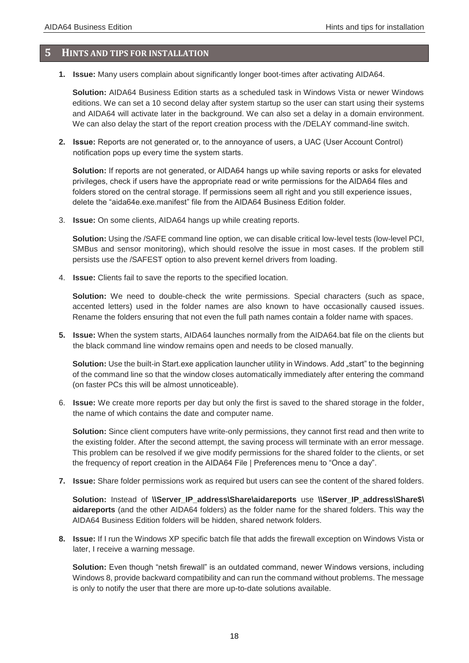#### <span id="page-18-0"></span>**5 HINTS AND TIPS FOR INSTALLATION**

**1. Issue:** Many users complain about significantly longer boot-times after activating AIDA64.

**Solution:** AIDA64 Business Edition starts as a scheduled task in Windows Vista or newer Windows editions. We can set a 10 second delay after system startup so the user can start using their systems and AIDA64 will activate later in the background. We can also set a delay in a domain environment. We can also delay the start of the report creation process with the /DELAY command-line switch.

**2. Issue:** Reports are not generated or, to the annoyance of users, a UAC (User Account Control) notification pops up every time the system starts.

**Solution:** If reports are not generated, or AIDA64 hangs up while saving reports or asks for elevated privileges, check if users have the appropriate read or write permissions for the AIDA64 files and folders stored on the central storage. If permissions seem all right and you still experience issues, delete the "aida64e.exe.manifest" file from the AIDA64 Business Edition folder.

3. **Issue:** On some clients, AIDA64 hangs up while creating reports.

**Solution:** Using the /SAFE command line option, we can disable critical low-level tests (low-level PCI, SMBus and sensor monitoring), which should resolve the issue in most cases. If the problem still persists use the /SAFEST option to also prevent kernel drivers from loading.

4. **Issue:** Clients fail to save the reports to the specified location.

**Solution:** We need to double-check the write permissions. Special characters (such as space, accented letters) used in the folder names are also known to have occasionally caused issues. Rename the folders ensuring that not even the full path names contain a folder name with spaces.

**5. Issue:** When the system starts, AIDA64 launches normally from the AIDA64.bat file on the clients but the black command line window remains open and needs to be closed manually.

**Solution:** Use the built-in Start.exe application launcher utility in Windows. Add "start" to the beginning of the command line so that the window closes automatically immediately after entering the command (on faster PCs this will be almost unnoticeable).

6. **Issue:** We create more reports per day but only the first is saved to the shared storage in the folder, the name of which contains the date and computer name.

**Solution:** Since client computers have write-only permissions, they cannot first read and then write to the existing folder. After the second attempt, the saving process will terminate with an error message. This problem can be resolved if we give modify permissions for the shared folder to the clients, or set the frequency of report creation in the AIDA64 File | Preferences menu to "Once a day".

**7. Issue:** Share folder permissions work as required but users can see the content of the shared folders.

**Solution:** Instead of **\\Server\_IP\_address\Share\aidareports** use **\\Server\_IP\_address\Share\$\ aidareports** (and the other AIDA64 folders) as the folder name for the shared folders. This way the AIDA64 Business Edition folders will be hidden, shared network folders.

**8. Issue:** If I run the Windows XP specific batch file that adds the firewall exception on Windows Vista or later, I receive a warning message.

**Solution:** Even though "netsh firewall" is an outdated command, newer Windows versions, including Windows 8, provide backward compatibility and can run the command without problems. The message is only to notify the user that there are more up-to-date solutions available.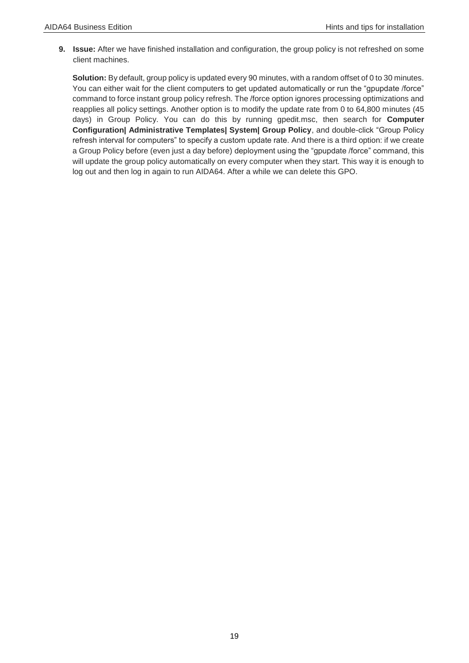**9. Issue:** After we have finished installation and configuration, the group policy is not refreshed on some client machines.

**Solution:** By default, group policy is updated every 90 minutes, with a random offset of 0 to 30 minutes. You can either wait for the client computers to get updated automatically or run the "gpupdate /force" command to force instant group policy refresh. The /force option ignores processing optimizations and reapplies all policy settings. Another option is to modify the update rate from 0 to 64,800 minutes (45 days) in Group Policy. You can do this by running gpedit.msc, then search for **Computer Configuration| Administrative Templates| System| Group Policy**, and double-click "Group Policy refresh interval for computers" to specify a custom update rate. And there is a third option: if we create a Group Policy before (even just a day before) deployment using the "gpupdate /force" command, this will update the group policy automatically on every computer when they start. This way it is enough to log out and then log in again to run AIDA64. After a while we can delete this GPO.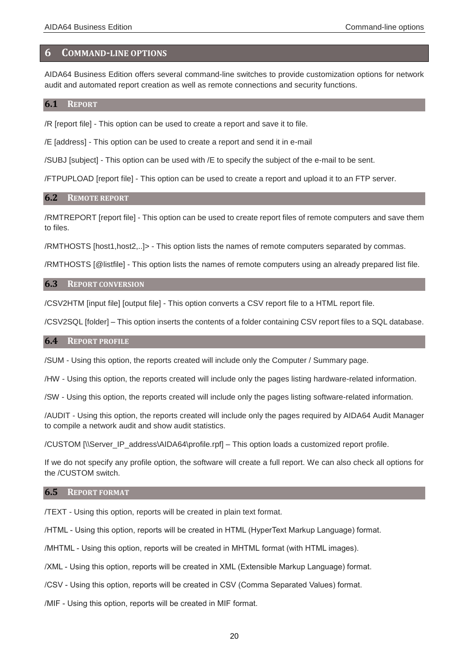#### <span id="page-20-0"></span>**6 COMMAND-LINE OPTIONS**

AIDA64 Business Edition offers several command-line switches to provide customization options for network audit and automated report creation as well as remote connections and security functions.

#### <span id="page-20-1"></span>**6.1 REPORT**

/R [report file] - This option can be used to create a report and save it to file.

/E [address] - This option can be used to create a report and send it in e-mail

/SUBJ [subject] - This option can be used with /E to specify the subject of the e-mail to be sent.

/FTPUPLOAD [report file] - This option can be used to create a report and upload it to an FTP server.

#### <span id="page-20-2"></span>**6.2 REMOTE REPORT**

/RMTREPORT [report file] - This option can be used to create report files of remote computers and save them to files.

/RMTHOSTS [host1,host2,..]> - This option lists the names of remote computers separated by commas.

/RMTHOSTS [@listfile] - This option lists the names of remote computers using an already prepared list file.

#### <span id="page-20-3"></span>**6.3 REPORT CONVERSION**

/CSV2HTM [input file] [output file] - This option converts a CSV report file to a HTML report file.

/CSV2SQL [folder] – This option inserts the contents of a folder containing CSV report files to a SQL database.

#### <span id="page-20-4"></span>**6.4 REPORT PROFILE**

/SUM - Using this option, the reports created will include only the Computer / Summary page.

/HW - Using this option, the reports created will include only the pages listing hardware-related information.

/SW - Using this option, the reports created will include only the pages listing software-related information.

/AUDIT - Using this option, the reports created will include only the pages required by AIDA64 Audit Manager to compile a network audit and show audit statistics.

/CUSTOM [\\Server\_IP\_address\AIDA64\profile.rpf] – This option loads a customized report profile.

If we do not specify any profile option, the software will create a full report. We can also check all options for the /CUSTOM switch.

#### <span id="page-20-5"></span>**6.5 REPORT FORMAT**

/TEXT - Using this option, reports will be created in plain text format.

/HTML - Using this option, reports will be created in HTML (HyperText Markup Language) format.

/MHTML - Using this option, reports will be created in MHTML format (with HTML images).

/XML - Using this option, reports will be created in XML (Extensible Markup Language) format.

/CSV - Using this option, reports will be created in CSV (Comma Separated Values) format.

/MIF - Using this option, reports will be created in MIF format.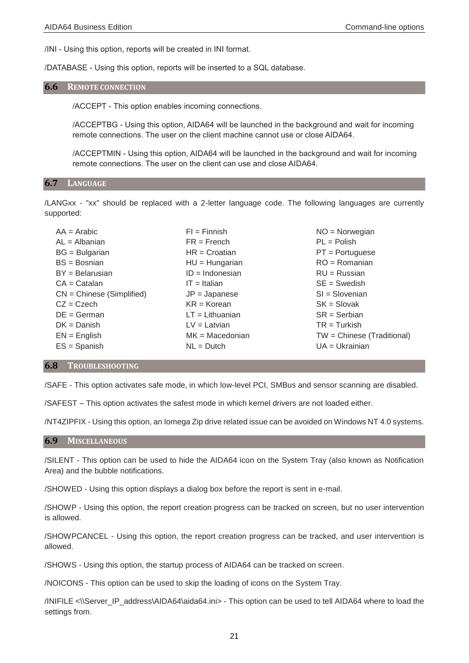/INI - Using this option, reports will be created in INI format.

/DATABASE - Using this option, reports will be inserted to a SQL database.

#### <span id="page-21-0"></span>**6.6 REMOTE CONNECTION**

/ACCEPT - This option enables incoming connections.

/ACCEPTBG - Using this option, AIDA64 will be launched in the background and wait for incoming remote connections. The user on the client machine cannot use or close AIDA64.

/ACCEPTMIN - Using this option, AIDA64 will be launched in the background and wait for incoming remote connections. The user on the client can use and close AIDA64.

#### <span id="page-21-1"></span>**6.7 LANGUAGE**

/LANGxx - "xx" should be replaced with a 2-letter language code. The following languages are currently supported:

| $AA = Arabic$               | $FI = Finnish$    | $NO = Norwegian$             |
|-----------------------------|-------------------|------------------------------|
| $AL = Albanian$             | $FR =$ French     | $PL = Polish$                |
| $BG = Bulgarian$            | $HR = Croatian$   | $PT =$ Portuguese            |
| $BS = Bosnian$              | $HU = Hungarian$  | $RO = Romanian$              |
| $BY = Belarusian$           | $ID = Indonesian$ | $RU = Russian$               |
| $CA = \text{Catalan}$       | $IT = Italian$    | $SE = Swedish$               |
| $CN = Chinese$ (Simplified) | $JP = Japanese$   | $SI = Slovenian$             |
| $CZ = Czech$                | $KR = K$ orean    | $SK = Slovak$                |
| $DE = German$               | $LT = Lithuanian$ | $SR =$ Serbian               |
| $DK = Danish$               | $LV =$ Latvian    | $TR = Turkish$               |
| $EN =$ English              | $MK = Macedonian$ | $TW = Chinese (Traditional)$ |
| $ES = Spanish$              | $NL = Dutch$      | $UA = Ukrainian$             |

#### <span id="page-21-2"></span>**6.8 TROUBLESHOOTING**

/SAFE - This option activates safe mode, in which low-level PCI, SMBus and sensor scanning are disabled.

/SAFEST – This option activates the safest mode in which kernel drivers are not loaded either.

/NT4ZIPFIX - Using this option, an Iomega Zip drive related issue can be avoided on Windows NT 4.0 systems.

#### <span id="page-21-3"></span>**6.9 MISCELLANEOUS**

/SILENT - This option can be used to hide the AIDA64 icon on the System Tray (also known as Notification Area) and the bubble notifications.

/SHOWED - Using this option displays a dialog box before the report is sent in e-mail.

/SHOWP - Using this option, the report creation progress can be tracked on screen, but no user intervention is allowed.

/SHOWPCANCEL - Using this option, the report creation progress can be tracked, and user intervention is allowed.

/SHOWS - Using this option, the startup process of AIDA64 can be tracked on screen.

/NOICONS - This option can be used to skip the loading of icons on the System Tray.

/INIFILE <\\Server\_IP\_address\AIDA64\aida64.ini> - This option can be used to tell AIDA64 where to load the settings from.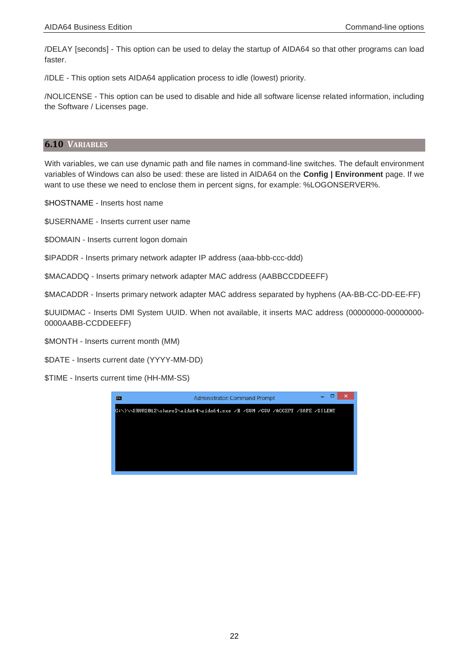/DELAY [seconds] - This option can be used to delay the startup of AIDA64 so that other programs can load faster.

/IDLE - This option sets AIDA64 application process to idle (lowest) priority.

/NOLICENSE - This option can be used to disable and hide all software license related information, including the Software / Licenses page.

#### <span id="page-22-0"></span>**6.10 VARIABLES**

With variables, we can use dynamic path and file names in command-line switches. The default environment variables of Windows can also be used: these are listed in AIDA64 on the **Config | Environment** page. If we want to use these we need to enclose them in percent signs, for example: %LOGONSERVER%.

\$HOSTNAME - Inserts host name

\$USERNAME - Inserts current user name

\$DOMAIN - Inserts current logon domain

\$IPADDR - Inserts primary network adapter IP address (aaa-bbb-ccc-ddd)

\$MACADDQ - Inserts primary network adapter MAC address (AABBCCDDEEFF)

\$MACADDR - Inserts primary network adapter MAC address separated by hyphens (AA-BB-CC-DD-EE-FF)

\$UUIDMAC - Inserts DMI System UUID. When not available, it inserts MAC address (00000000-00000000- 0000AABB-CCDDEEFF)

\$MONTH - Inserts current month (MM)

\$DATE - Inserts current date (YYYY-MM-DD)

\$TIME - Inserts current time (HH-MM-SS)